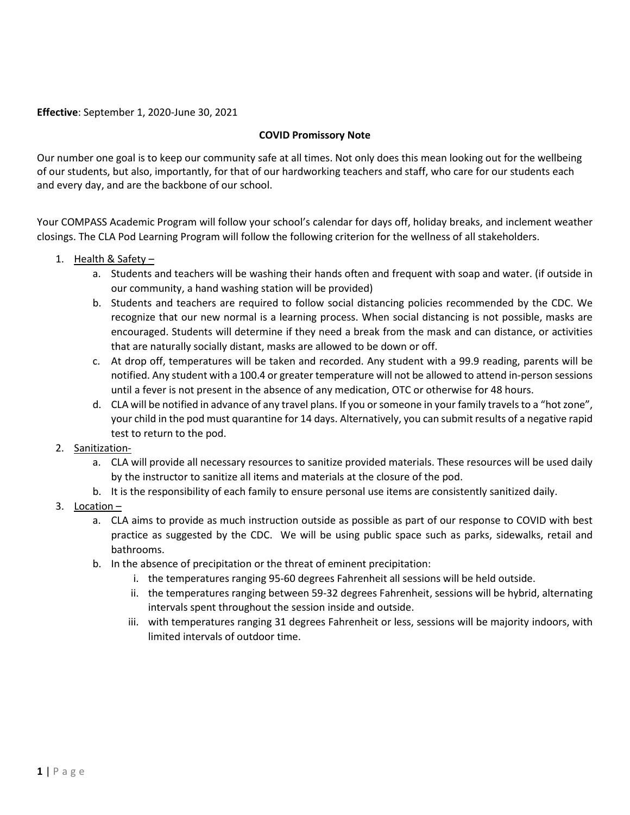**Effective**: September 1, 2020-June 30, 2021

## **COVID Promissory Note**

Our number one goal is to keep our community safe at all times. Not only does this mean looking out for the wellbeing of our students, but also, importantly, for that of our hardworking teachers and staff, who care for our students each and every day, and are the backbone of our school.

Your COMPASS Academic Program will follow your school's calendar for days off, holiday breaks, and inclement weather closings. The CLA Pod Learning Program will follow the following criterion for the wellness of all stakeholders.

- 1. Health  $&$  Safety
	- a. Students and teachers will be washing their hands often and frequent with soap and water. (if outside in our community, a hand washing station will be provided)
	- b. Students and teachers are required to follow social distancing policies recommended by the CDC. We recognize that our new normal is a learning process. When social distancing is not possible, masks are encouraged. Students will determine if they need a break from the mask and can distance, or activities that are naturally socially distant, masks are allowed to be down or off.
	- c. At drop off, temperatures will be taken and recorded. Any student with a 99.9 reading, parents will be notified. Any student with a 100.4 or greater temperature will not be allowed to attend in-person sessions until a fever is not present in the absence of any medication, OTC or otherwise for 48 hours.
	- d. CLA will be notified in advance of any travel plans. If you or someone in your family travels to a "hot zone", your child in the pod must quarantine for 14 days. Alternatively, you can submit results of a negative rapid test to return to the pod.
- 2. Sanitization
	- a. CLA will provide all necessary resources to sanitize provided materials. These resources will be used daily by the instructor to sanitize all items and materials at the closure of the pod.
	- b. It is the responsibility of each family to ensure personal use items are consistently sanitized daily.
- 3. Location
	- a. CLA aims to provide as much instruction outside as possible as part of our response to COVID with best practice as suggested by the CDC. We will be using public space such as parks, sidewalks, retail and bathrooms.
	- b. In the absence of precipitation or the threat of eminent precipitation:
		- i. the temperatures ranging 95-60 degrees Fahrenheit all sessions will be held outside.
		- ii. the temperatures ranging between 59-32 degrees Fahrenheit, sessions will be hybrid, alternating intervals spent throughout the session inside and outside.
		- iii. with temperatures ranging 31 degrees Fahrenheit or less, sessions will be majority indoors, with limited intervals of outdoor time.